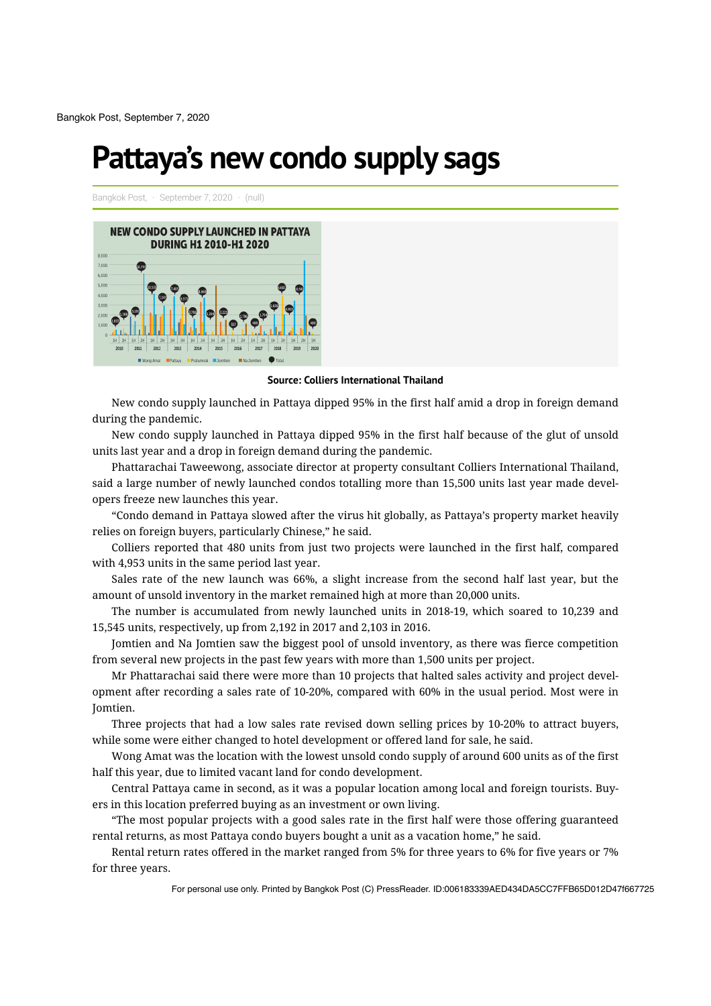Bangkok Post, September 7, 2020

## **Pattaya's new condo supply sags**

Bangkok Post, · September 7, 2020 · (null)



**Source: Colliers International Thailand**

New condo supply launched in Pattaya dipped 95% in the first half amid a drop in foreign demand during the pandemic.

New condo supply launched in Pattaya dipped 95% in the first half because of the glut of unsold units last year and a drop in foreign demand during the pandemic.

Phattarachai Taweewong, associate director at property consultant Colliers International Thailand, said a large number of newly launched condos totalling more than 15,500 units last year made developers freeze new launches this year.

"Condo demand in Pattaya slowed after the virus hit globally, as Pattaya's property market heavily relies on foreign buyers, particularly Chinese," he said.

Colliers reported that 480 units from just two projects were launched in the first half, compared with 4,953 units in the same period last year.

Sales rate of the new launch was 66%, a slight increase from the second half last year, but the amount of unsold inventory in the market remained high at more than 20,000 units.

The number is accumulated from newly launched units in 2018-19, which soared to 10,239 and 15,545 units, respectively, up from 2,192 in 2017 and 2,103 in 2016.

Jomtien and Na Jomtien saw the biggest pool of unsold inventory, as there was fierce competition from several new projects in the past few years with more than 1,500 units per project.

Mr Phattarachai said there were more than 10 projects that halted sales activity and project development after recording a sales rate of 10-20%, compared with 60% in the usual period. Most were in Jomtien.

Three projects that had a low sales rate revised down selling prices by 10-20% to attract buyers, while some were either changed to hotel development or offered land for sale, he said.

Wong Amat was the location with the lowest unsold condo supply of around 600 units as of the first half this year, due to limited vacant land for condo development.

Central Pattaya came in second, as it was a popular location among local and foreign tourists. Buy‐ ers in this location preferred buying as an investment or own living.

"The most popular projects with a good sales rate in the first half were those offering guaranteed rental returns, as most Pattaya condo buyers bought a unit as a vacation home," he said.

Rental return rates offered in the market ranged from 5% for three years to 6% for five years or 7% for three years.

For personal use only. Printed by Bangkok Post (C) PressReader. ID:006183339AED434DA5CC7FFB65D012D47f667725